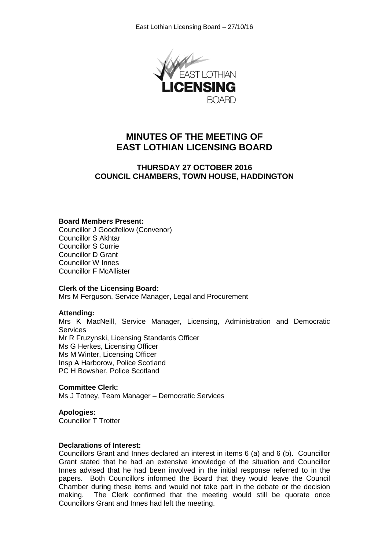

## **MINUTES OF THE MEETING OF EAST LOTHIAN LICENSING BOARD**

**THURSDAY 27 OCTOBER 2016 COUNCIL CHAMBERS, TOWN HOUSE, HADDINGTON**

#### **Board Members Present:**

Councillor J Goodfellow (Convenor) Councillor S Akhtar Councillor S Currie Councillor D Grant Councillor W Innes Councillor F McAllister

#### **Clerk of the Licensing Board:**

Mrs M Ferguson, Service Manager, Legal and Procurement

## **Attending:**

Mrs K MacNeill, Service Manager, Licensing, Administration and Democratic **Services** Mr R Fruzynski, Licensing Standards Officer Ms G Herkes, Licensing Officer Ms M Winter, Licensing Officer Insp A Harborow, Police Scotland

PC H Bowsher, Police Scotland

## **Committee Clerk:**

Ms J Totney, Team Manager – Democratic Services

## **Apologies:**

Councillor T Trotter

#### **Declarations of Interest:**

Councillors Grant and Innes declared an interest in items 6 (a) and 6 (b). Councillor Grant stated that he had an extensive knowledge of the situation and Councillor Innes advised that he had been involved in the initial response referred to in the papers. Both Councillors informed the Board that they would leave the Council Chamber during these items and would not take part in the debate or the decision making. The Clerk confirmed that the meeting would still be quorate once Councillors Grant and Innes had left the meeting.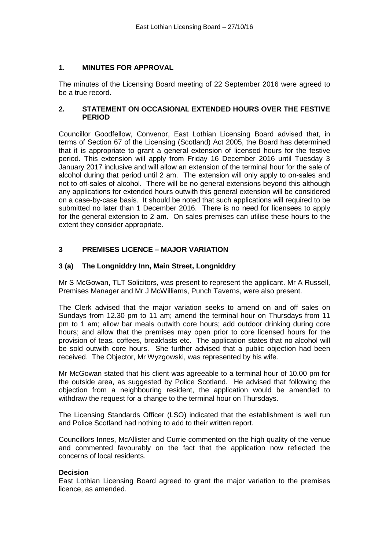## **1. MINUTES FOR APPROVAL**

The minutes of the Licensing Board meeting of 22 September 2016 were agreed to be a true record.

## **2. STATEMENT ON OCCASIONAL EXTENDED HOURS OVER THE FESTIVE PERIOD**

Councillor Goodfellow, Convenor, East Lothian Licensing Board advised that, in terms of Section 67 of the Licensing (Scotland) Act 2005, the Board has determined that it is appropriate to grant a general extension of licensed hours for the festive period. This extension will apply from Friday 16 December 2016 until Tuesday 3 January 2017 inclusive and will allow an extension of the terminal hour for the sale of alcohol during that period until 2 am. The extension will only apply to on-sales and not to off-sales of alcohol. There will be no general extensions beyond this although any applications for extended hours outwith this general extension will be considered on a case-by-case basis. It should be noted that such applications will required to be submitted no later than 1 December 2016. There is no need for licensees to apply for the general extension to 2 am. On sales premises can utilise these hours to the extent they consider appropriate.

## **3 PREMISES LICENCE – MAJOR VARIATION**

## **3 (a) The Longniddry Inn, Main Street, Longniddry**

Mr S McGowan, TLT Solicitors, was present to represent the applicant. Mr A Russell, Premises Manager and Mr J McWilliams, Punch Taverns, were also present.

The Clerk advised that the major variation seeks to amend on and off sales on Sundays from 12.30 pm to 11 am; amend the terminal hour on Thursdays from 11 pm to 1 am; allow bar meals outwith core hours; add outdoor drinking during core hours; and allow that the premises may open prior to core licensed hours for the provision of teas, coffees, breakfasts etc. The application states that no alcohol will be sold outwith core hours. She further advised that a public objection had been received. The Objector, Mr Wyzgowski, was represented by his wife.

Mr McGowan stated that his client was agreeable to a terminal hour of 10.00 pm for the outside area, as suggested by Police Scotland. He advised that following the objection from a neighbouring resident, the application would be amended to withdraw the request for a change to the terminal hour on Thursdays.

The Licensing Standards Officer (LSO) indicated that the establishment is well run and Police Scotland had nothing to add to their written report.

Councillors Innes, McAllister and Currie commented on the high quality of the venue and commented favourably on the fact that the application now reflected the concerns of local residents.

## **Decision**

East Lothian Licensing Board agreed to grant the major variation to the premises licence, as amended.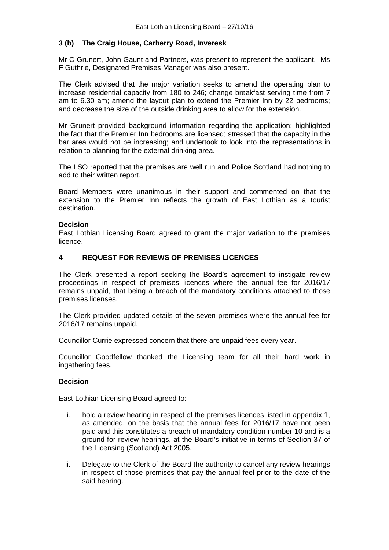## **3 (b) The Craig House, Carberry Road, Inveresk**

Mr C Grunert, John Gaunt and Partners, was present to represent the applicant. Ms F Guthrie, Designated Premises Manager was also present.

The Clerk advised that the major variation seeks to amend the operating plan to increase residential capacity from 180 to 246; change breakfast serving time from 7 am to 6.30 am; amend the layout plan to extend the Premier Inn by 22 bedrooms; and decrease the size of the outside drinking area to allow for the extension.

Mr Grunert provided background information regarding the application; highlighted the fact that the Premier Inn bedrooms are licensed; stressed that the capacity in the bar area would not be increasing; and undertook to look into the representations in relation to planning for the external drinking area.

The LSO reported that the premises are well run and Police Scotland had nothing to add to their written report.

Board Members were unanimous in their support and commented on that the extension to the Premier Inn reflects the growth of East Lothian as a tourist destination.

## **Decision**

East Lothian Licensing Board agreed to grant the major variation to the premises licence.

## **4 REQUEST FOR REVIEWS OF PREMISES LICENCES**

The Clerk presented a report seeking the Board's agreement to instigate review proceedings in respect of premises licences where the annual fee for 2016/17 remains unpaid, that being a breach of the mandatory conditions attached to those premises licenses.

The Clerk provided updated details of the seven premises where the annual fee for 2016/17 remains unpaid.

Councillor Currie expressed concern that there are unpaid fees every year.

Councillor Goodfellow thanked the Licensing team for all their hard work in ingathering fees.

## **Decision**

East Lothian Licensing Board agreed to:

- i. hold a review hearing in respect of the premises licences listed in appendix 1, as amended, on the basis that the annual fees for 2016/17 have not been paid and this constitutes a breach of mandatory condition number 10 and is a ground for review hearings, at the Board's initiative in terms of Section 37 of the Licensing (Scotland) Act 2005.
- ii. Delegate to the Clerk of the Board the authority to cancel any review hearings in respect of those premises that pay the annual feel prior to the date of the said hearing.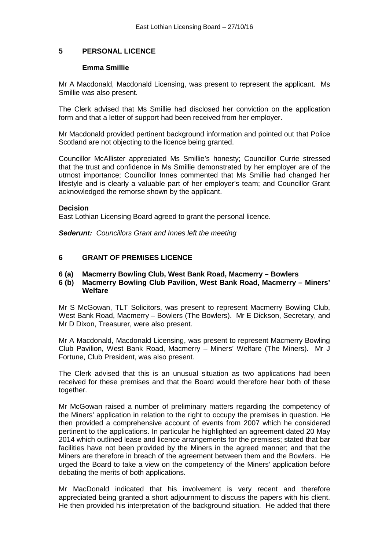## **5 PERSONAL LICENCE**

## **Emma Smillie**

Mr A Macdonald, Macdonald Licensing, was present to represent the applicant. Ms Smillie was also present.

The Clerk advised that Ms Smillie had disclosed her conviction on the application form and that a letter of support had been received from her employer.

Mr Macdonald provided pertinent background information and pointed out that Police Scotland are not objecting to the licence being granted.

Councillor McAllister appreciated Ms Smillie's honesty; Councillor Currie stressed that the trust and confidence in Ms Smillie demonstrated by her employer are of the utmost importance; Councillor Innes commented that Ms Smillie had changed her lifestyle and is clearly a valuable part of her employer's team; and Councillor Grant acknowledged the remorse shown by the applicant.

#### **Decision**

East Lothian Licensing Board agreed to grant the personal licence.

*Sederunt: Councillors Grant and Innes left the meeting*

## **6 GRANT OF PREMISES LICENCE**

# **6 (a) Macmerry Bowling Club, West Bank Road, Macmerry – Bowlers**

**6 (b) Macmerry Bowling Club Pavilion, West Bank Road, Macmerry – Miners' Welfare**

Mr S McGowan, TLT Solicitors, was present to represent Macmerry Bowling Club, West Bank Road, Macmerry – Bowlers (The Bowlers). Mr E Dickson, Secretary, and Mr D Dixon, Treasurer, were also present.

Mr A Macdonald, Macdonald Licensing, was present to represent Macmerry Bowling Club Pavilion, West Bank Road, Macmerry – Miners' Welfare (The Miners). Mr J Fortune, Club President, was also present.

The Clerk advised that this is an unusual situation as two applications had been received for these premises and that the Board would therefore hear both of these together.

Mr McGowan raised a number of preliminary matters regarding the competency of the Miners' application in relation to the right to occupy the premises in question. He then provided a comprehensive account of events from 2007 which he considered pertinent to the applications. In particular he highlighted an agreement dated 20 May 2014 which outlined lease and licence arrangements for the premises; stated that bar facilities have not been provided by the Miners in the agreed manner; and that the Miners are therefore in breach of the agreement between them and the Bowlers. He urged the Board to take a view on the competency of the Miners' application before debating the merits of both applications.

Mr MacDonald indicated that his involvement is very recent and therefore appreciated being granted a short adjournment to discuss the papers with his client. He then provided his interpretation of the background situation. He added that there